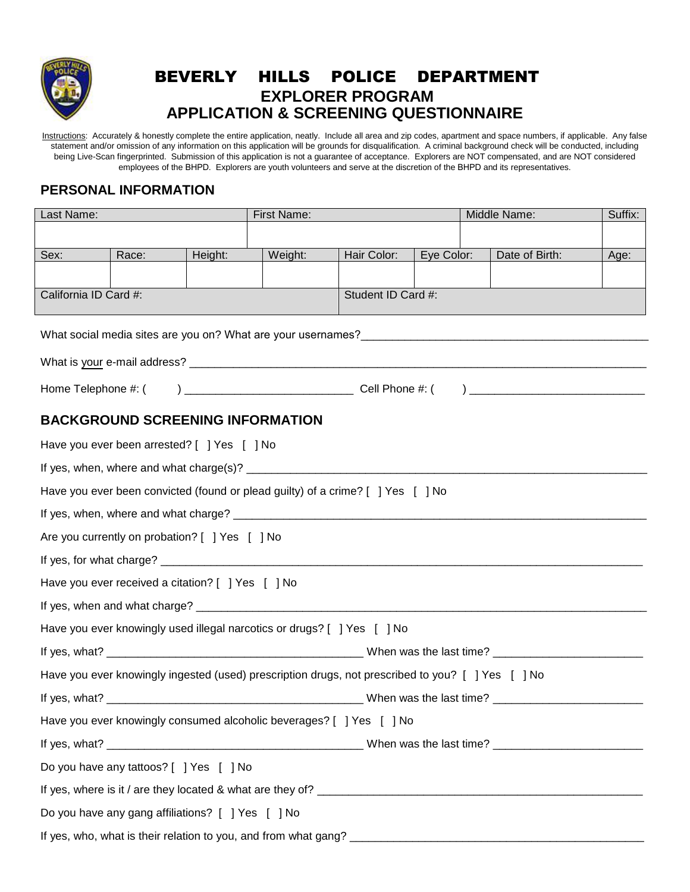

## BEVERLY HILLS POLICE DEPARTMENT **EXPLORER PROGRAM APPLICATION & SCREENING QUESTIONNAIRE**

Instructions: Accurately & honestly complete the entire application, neatly. Include all area and zip codes, apartment and space numbers, if applicable. Any false statement and/or omission of any information on this application will be grounds for disqualification. A criminal background check will be conducted, including being Live-Scan fingerprinted. Submission of this application is not a guarantee of acceptance. Explorers are NOT compensated, and are NOT considered employees of the BHPD. Explorers are youth volunteers and serve at the discretion of the BHPD and its representatives.

### **PERSONAL INFORMATION**

| Last Name:                                  |                                                   | <b>First Name:</b> |                                                                                                   |                    | Middle Name: | Suffix:        |      |
|---------------------------------------------|---------------------------------------------------|--------------------|---------------------------------------------------------------------------------------------------|--------------------|--------------|----------------|------|
|                                             |                                                   |                    |                                                                                                   |                    |              |                |      |
| Sex:                                        | Race:                                             | Height:            | Weight:                                                                                           | Hair Color:        | Eye Color:   | Date of Birth: | Age: |
|                                             |                                                   |                    |                                                                                                   |                    |              |                |      |
| California ID Card #:                       |                                                   |                    |                                                                                                   | Student ID Card #: |              |                |      |
|                                             |                                                   |                    |                                                                                                   |                    |              |                |      |
|                                             |                                                   |                    |                                                                                                   |                    |              |                |      |
|                                             |                                                   |                    |                                                                                                   |                    |              |                |      |
|                                             |                                                   |                    |                                                                                                   |                    |              |                |      |
|                                             | <b>BACKGROUND SCREENING INFORMATION</b>           |                    |                                                                                                   |                    |              |                |      |
| Have you ever been arrested? [ ] Yes [ ] No |                                                   |                    |                                                                                                   |                    |              |                |      |
|                                             |                                                   |                    |                                                                                                   |                    |              |                |      |
|                                             |                                                   |                    | Have you ever been convicted (found or plead guilty) of a crime? [ ] Yes [ ] No                   |                    |              |                |      |
|                                             |                                                   |                    |                                                                                                   |                    |              |                |      |
|                                             | Are you currently on probation? [ ] Yes [ ] No    |                    |                                                                                                   |                    |              |                |      |
|                                             |                                                   |                    |                                                                                                   |                    |              |                |      |
|                                             | Have you ever received a citation? [ ] Yes [ ] No |                    |                                                                                                   |                    |              |                |      |
|                                             |                                                   |                    |                                                                                                   |                    |              |                |      |
|                                             |                                                   |                    | Have you ever knowingly used illegal narcotics or drugs? [ ] Yes [ ] No                           |                    |              |                |      |
|                                             |                                                   |                    |                                                                                                   |                    |              |                |      |
|                                             |                                                   |                    | Have you ever knowingly ingested (used) prescription drugs, not prescribed to you? [ ] Yes [ ] No |                    |              |                |      |
|                                             |                                                   |                    |                                                                                                   |                    |              |                |      |
|                                             |                                                   |                    | Have you ever knowingly consumed alcoholic beverages? [ ] Yes [ ] No                              |                    |              |                |      |
|                                             |                                                   |                    |                                                                                                   |                    |              |                |      |
|                                             | Do you have any tattoos? [ ] Yes [ ] No           |                    |                                                                                                   |                    |              |                |      |
|                                             |                                                   |                    |                                                                                                   |                    |              |                |      |
|                                             | Do you have any gang affiliations? [ ] Yes [ ] No |                    |                                                                                                   |                    |              |                |      |
|                                             |                                                   |                    |                                                                                                   |                    |              |                |      |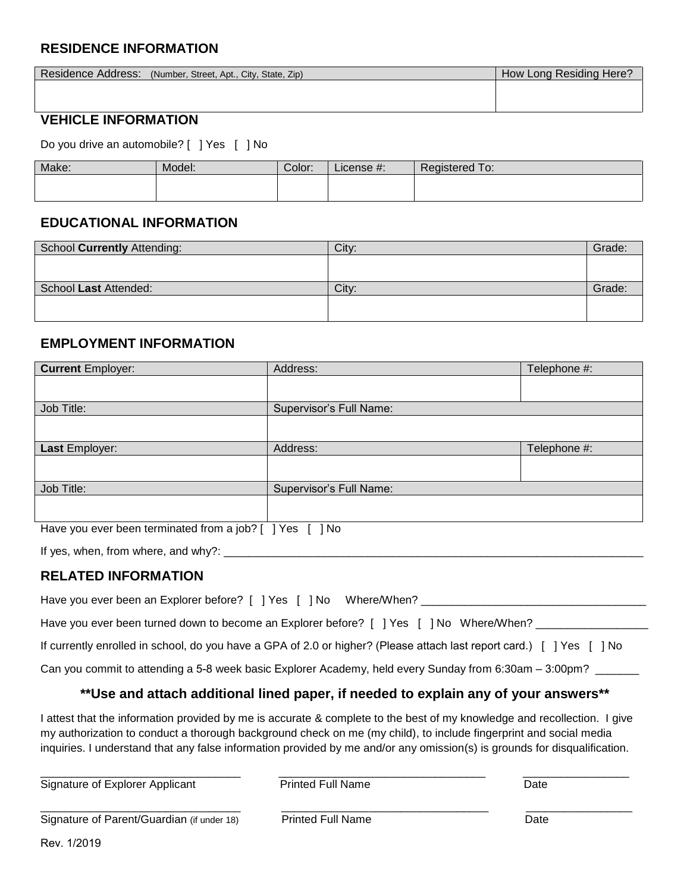## **RESIDENCE INFORMATION**

| Residence Address: (Number, Street, Apt., City, State, Zip) | How Long Residing Here? |  |  |
|-------------------------------------------------------------|-------------------------|--|--|
|                                                             |                         |  |  |
|                                                             |                         |  |  |
| ___________________________                                 |                         |  |  |

#### **VEHICLE INFORMATION**

Do you drive an automobile? [ ] Yes [ ] No

| Make: | Model: | Color: | License #: | Registered To<br>To: |
|-------|--------|--------|------------|----------------------|
|       |        |        |            |                      |
|       |        |        |            |                      |

#### **EDUCATIONAL INFORMATION**

| School Currently Attending: | City: | Grade: |
|-----------------------------|-------|--------|
|                             |       |        |
|                             |       |        |
| School Last Attended:       | City: | Grade: |
|                             |       |        |
|                             |       |        |

#### **EMPLOYMENT INFORMATION**

| <b>Current Employer:</b>                                              | Address:                | Telephone #: |
|-----------------------------------------------------------------------|-------------------------|--------------|
|                                                                       |                         |              |
| Job Title:                                                            | Supervisor's Full Name: |              |
|                                                                       |                         |              |
| Last Employer:                                                        | Address:                | Telephone #: |
|                                                                       |                         |              |
| Job Title:                                                            | Supervisor's Full Name: |              |
|                                                                       |                         |              |
| There can accord a so to method a form in tal O.F. J. Van I.F. J. Nie |                         |              |

Have you ever been terminated from a job? [ ] Yes [ ] No

If yes, when, from where, and why?: \_\_\_\_\_\_\_\_\_\_\_\_\_\_\_\_\_\_\_\_\_\_\_\_\_\_\_\_\_\_\_\_\_\_\_\_\_\_\_\_\_\_\_\_\_\_\_\_\_\_\_\_\_\_\_\_\_\_\_\_\_\_\_\_\_\_\_

#### **RELATED INFORMATION**

| Have you ever been an Explorer before? [ ] Yes [ ] No Where/When?                       |  |
|-----------------------------------------------------------------------------------------|--|
| Have you ever been turned down to become an Explorer before? [ ] Yes [ ] No Where/When? |  |

If currently enrolled in school, do you have a GPA of 2.0 or higher? (Please attach last report card.) [ ] Yes [ ] No

Can you commit to attending a 5-8 week basic Explorer Academy, held every Sunday from 6:30am – 3:00pm? \_\_\_\_\_\_\_

#### **\*\*Use and attach additional lined paper, if needed to explain any of your answers\*\***

I attest that the information provided by me is accurate & complete to the best of my knowledge and recollection. I give my authorization to conduct a thorough background check on me (my child), to include fingerprint and social media inquiries. I understand that any false information provided by me and/or any omission(s) is grounds for disqualification.

| Signature of Explorer Applicant            | <b>Printed Full Name</b> | Date |  |
|--------------------------------------------|--------------------------|------|--|
| Signature of Parent/Guardian (if under 18) | <b>Printed Full Name</b> | Date |  |